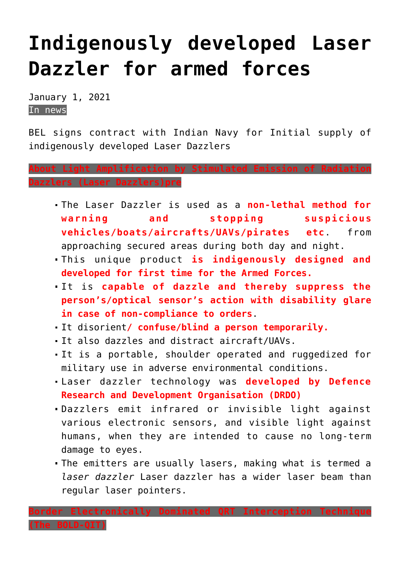## **[Indigenously developed Laser](https://journalsofindia.com/indigenously-developed-laser-dazzler-for-armed-forces/) [Dazzler for armed forces](https://journalsofindia.com/indigenously-developed-laser-dazzler-for-armed-forces/)**

January 1, 2021 In news

BEL signs contract with Indian Navy for Initial supply of indigenously developed Laser Dazzlers

**About Light Amplification by Stimulated Emission of Radiation Dazzlers (Laser Dazzlers)pre**

- The Laser Dazzler is used as a **non-lethal method for warning and stopping suspicious vehicles/boats/aircrafts/UAVs/pirates etc**. from approaching secured areas during both day and night.
- This unique product **is indigenously designed and developed for first time for the Armed Forces.**
- It is **capable of dazzle and thereby suppress the person's/optical sensor's action with disability glare in case of non-compliance to orders**.
- It disorient**/ confuse/blind a person temporarily.**
- It also dazzles and distract aircraft/UAVs.
- It is a portable, shoulder operated and ruggedized for military use in adverse environmental conditions.
- Laser dazzler technology was **developed by Defence Research and Development Organisation (DRDO)**
- Dazzlers emit infrared or invisible light against various electronic sensors, and visible light against humans, when they are intended to cause no long-term damage to eyes.
- The emitters are usually lasers, making what is termed a *laser dazzler* Laser dazzler has a wider laser beam than regular laser pointers.

**Border Electronically Dominated QRT Interception Technique**

**(The BOLD-QIT)**